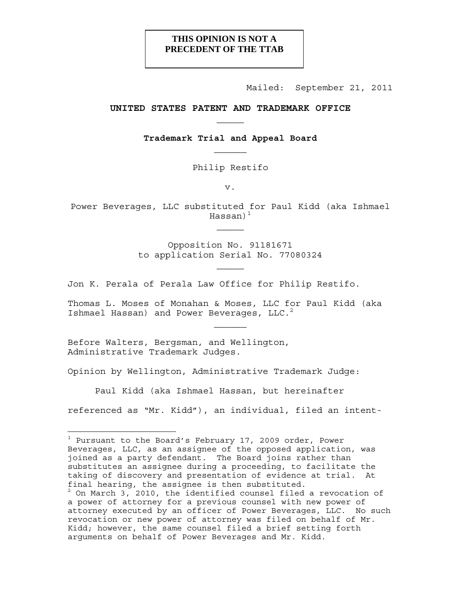# **THIS OPINION IS NOT A PRECEDENT OF THE TTAB**

Mailed: September 21, 2011

## **UNITED STATES PATENT AND TRADEMARK OFFICE**

**Trademark Trial and Appeal Board** 

Philip Restifo

v.

Power Beverages, LLC substituted for Paul Kidd (aka Ishmael Hassan $)^1$ 

> Opposition No. 91181671 to application Serial No. 77080324

Jon K. Perala of Perala Law Office for Philip Restifo.

Thomas L. Moses of Monahan & Moses, LLC for Paul Kidd (aka Ishmael Hassan) and Power Beverages, LLC.<sup>2</sup>

Before Walters, Bergsman, and Wellington, Administrative Trademark Judges.

Opinion by Wellington, Administrative Trademark Judge:

Paul Kidd (aka Ishmael Hassan, but hereinafter

referenced as "Mr. Kidd"), an individual, filed an intent-

<sup>&</sup>lt;sup>1</sup> Pursuant to the Board's February 17, 2009 order, Power Beverages, LLC, as an assignee of the opposed application, was joined as a party defendant. The Board joins rather than substitutes an assignee during a proceeding, to facilitate the taking of discovery and presentation of evidence at trial. At final hearing, the assignee is then substituted.

<sup>2</sup> On March 3, 2010, the identified counsel filed a revocation of a power of attorney for a previous counsel with new power of attorney executed by an officer of Power Beverages, LLC. No such revocation or new power of attorney was filed on behalf of Mr. Kidd; however, the same counsel filed a brief setting forth arguments on behalf of Power Beverages and Mr. Kidd.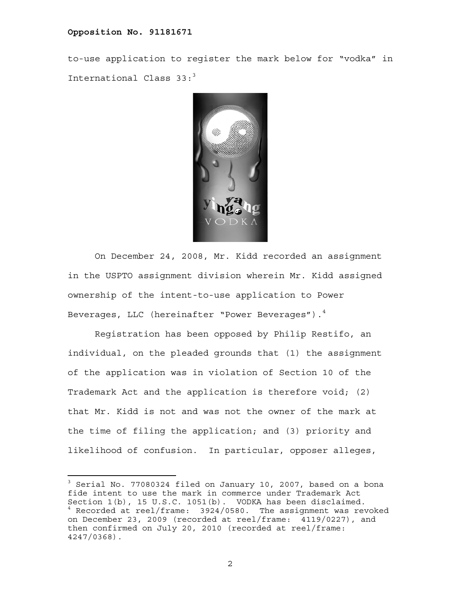to-use application to register the mark below for "vodka" in International Class  $33:3$ 



On December 24, 2008, Mr. Kidd recorded an assignment in the USPTO assignment division wherein Mr. Kidd assigned ownership of the intent-to-use application to Power Beverages, LLC (hereinafter "Power Beverages"). $^4$ 

Registration has been opposed by Philip Restifo, an individual, on the pleaded grounds that (1) the assignment of the application was in violation of Section 10 of the Trademark Act and the application is therefore void; (2) that Mr. Kidd is not and was not the owner of the mark at the time of filing the application; and (3) priority and likelihood of confusion. In particular, opposer alleges,

<sup>&</sup>lt;sup>3</sup> Serial No. 77080324 filed on January 10, 2007, based on a bona fide intent to use the mark in commerce under Trademark Act Section 1(b), 15 U.S.C. 1051(b). VODKA has been disclaimed. <sup>4</sup> Recorded at reel/frame: 3924/0580. The assignment was revoked on December 23, 2009 (recorded at reel/frame: 4119/0227), and then confirmed on July 20, 2010 (recorded at reel/frame: 4247/0368).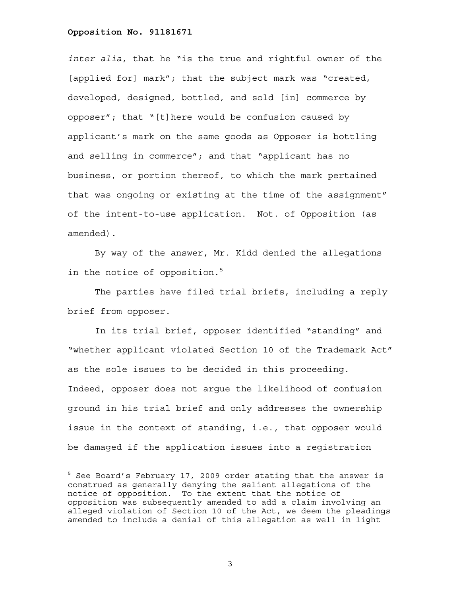—<br>—

*inter alia*, that he "is the true and rightful owner of the [applied for] mark"; that the subject mark was "created, developed, designed, bottled, and sold [in] commerce by opposer"; that "[t]here would be confusion caused by applicant's mark on the same goods as Opposer is bottling and selling in commerce"; and that "applicant has no business, or portion thereof, to which the mark pertained that was ongoing or existing at the time of the assignment" of the intent-to-use application. Not. of Opposition (as amended).

By way of the answer, Mr. Kidd denied the allegations in the notice of opposition.<sup>5</sup>

The parties have filed trial briefs, including a reply brief from opposer.

In its trial brief, opposer identified "standing" and "whether applicant violated Section 10 of the Trademark Act" as the sole issues to be decided in this proceeding. Indeed, opposer does not argue the likelihood of confusion ground in his trial brief and only addresses the ownership issue in the context of standing, i.e., that opposer would be damaged if the application issues into a registration

<sup>&</sup>lt;sup>5</sup> See Board's February 17, 2009 order stating that the answer is construed as generally denying the salient allegations of the notice of opposition. To the extent that the notice of opposition was subsequently amended to add a claim involving an alleged violation of Section 10 of the Act, we deem the pleadings amended to include a denial of this allegation as well in light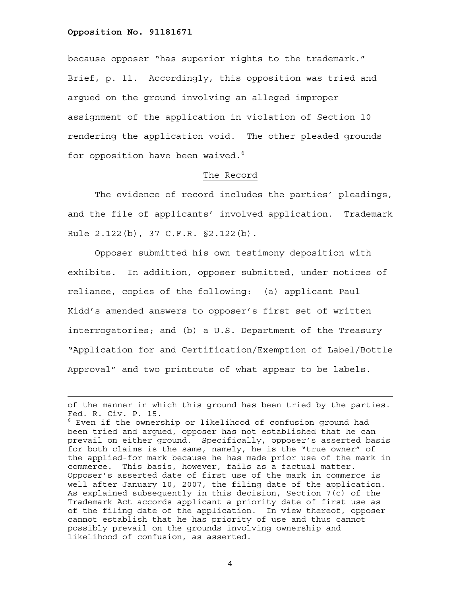because opposer "has superior rights to the trademark." Brief, p. 11. Accordingly, this opposition was tried and argued on the ground involving an alleged improper assignment of the application in violation of Section 10 rendering the application void. The other pleaded grounds for opposition have been waived.<sup>6</sup>

### The Record

 The evidence of record includes the parties' pleadings, and the file of applicants' involved application. Trademark Rule 2.122(b), 37 C.F.R. §2.122(b).

 Opposer submitted his own testimony deposition with exhibits. In addition, opposer submitted, under notices of reliance, copies of the following: (a) applicant Paul Kidd's amended answers to opposer's first set of written interrogatories; and (b) a U.S. Department of the Treasury "Application for and Certification/Exemption of Label/Bottle Approval" and two printouts of what appear to be labels.

of the manner in which this ground has been tried by the parties. Fed. R. Civ. P. 15.

 $^6$  Even if the ownership or likelihood of confusion ground had been tried and argued, opposer has not established that he can prevail on either ground. Specifically, opposer's asserted basis for both claims is the same, namely, he is the "true owner" of the applied-for mark because he has made prior use of the mark in commerce. This basis, however, fails as a factual matter. Opposer's asserted date of first use of the mark in commerce is well after January 10, 2007, the filing date of the application. As explained subsequently in this decision, Section 7(c) of the Trademark Act accords applicant a priority date of first use as of the filing date of the application. In view thereof, opposer cannot establish that he has priority of use and thus cannot possibly prevail on the grounds involving ownership and likelihood of confusion, as asserted.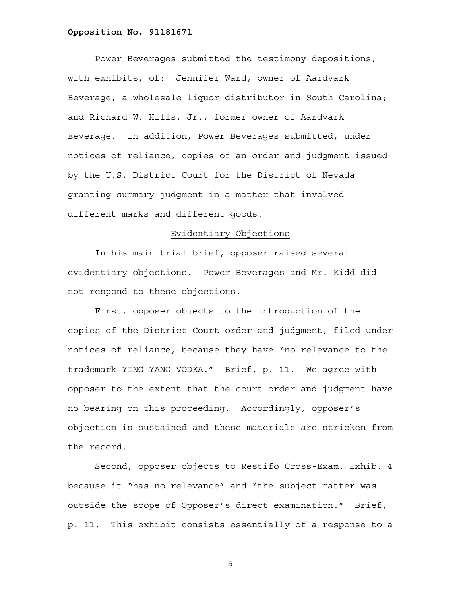Power Beverages submitted the testimony depositions, with exhibits, of: Jennifer Ward, owner of Aardvark Beverage, a wholesale liquor distributor in South Carolina; and Richard W. Hills, Jr., former owner of Aardvark Beverage. In addition, Power Beverages submitted, under notices of reliance, copies of an order and judgment issued by the U.S. District Court for the District of Nevada granting summary judgment in a matter that involved different marks and different goods.

# Evidentiary Objections

 In his main trial brief, opposer raised several evidentiary objections. Power Beverages and Mr. Kidd did not respond to these objections.

 First, opposer objects to the introduction of the copies of the District Court order and judgment, filed under notices of reliance, because they have "no relevance to the trademark YING YANG VODKA." Brief, p. 11. We agree with opposer to the extent that the court order and judgment have no bearing on this proceeding. Accordingly, opposer's objection is sustained and these materials are stricken from the record.

 Second, opposer objects to Restifo Cross-Exam. Exhib. 4 because it "has no relevance" and "the subject matter was outside the scope of Opposer's direct examination." Brief, p. 11. This exhibit consists essentially of a response to a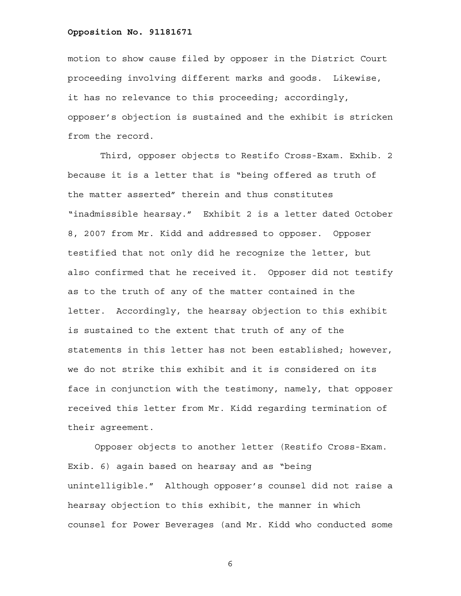motion to show cause filed by opposer in the District Court proceeding involving different marks and goods. Likewise, it has no relevance to this proceeding; accordingly, opposer's objection is sustained and the exhibit is stricken from the record.

 Third, opposer objects to Restifo Cross-Exam. Exhib. 2 because it is a letter that is "being offered as truth of the matter asserted" therein and thus constitutes "inadmissible hearsay." Exhibit 2 is a letter dated October 8, 2007 from Mr. Kidd and addressed to opposer. Opposer testified that not only did he recognize the letter, but also confirmed that he received it. Opposer did not testify as to the truth of any of the matter contained in the letter. Accordingly, the hearsay objection to this exhibit is sustained to the extent that truth of any of the statements in this letter has not been established; however, we do not strike this exhibit and it is considered on its face in conjunction with the testimony, namely, that opposer received this letter from Mr. Kidd regarding termination of their agreement.

 Opposer objects to another letter (Restifo Cross-Exam. Exib. 6) again based on hearsay and as "being unintelligible." Although opposer's counsel did not raise a hearsay objection to this exhibit, the manner in which counsel for Power Beverages (and Mr. Kidd who conducted some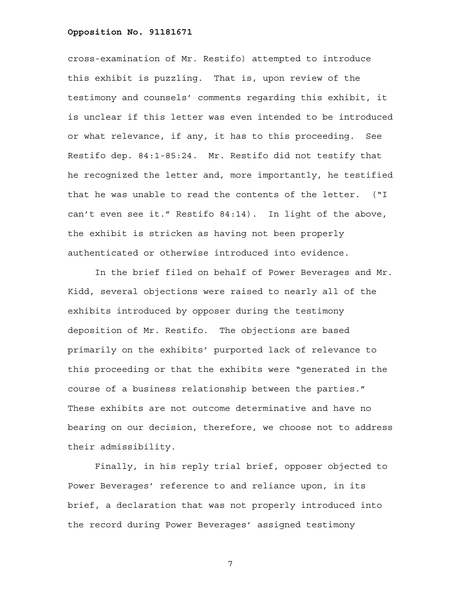cross-examination of Mr. Restifo) attempted to introduce this exhibit is puzzling. That is, upon review of the testimony and counsels' comments regarding this exhibit, it is unclear if this letter was even intended to be introduced or what relevance, if any, it has to this proceeding. See Restifo dep. 84:1-85:24. Mr. Restifo did not testify that he recognized the letter and, more importantly, he testified that he was unable to read the contents of the letter. ("I can't even see it." Restifo 84:14). In light of the above, the exhibit is stricken as having not been properly authenticated or otherwise introduced into evidence.

 In the brief filed on behalf of Power Beverages and Mr. Kidd, several objections were raised to nearly all of the exhibits introduced by opposer during the testimony deposition of Mr. Restifo. The objections are based primarily on the exhibits' purported lack of relevance to this proceeding or that the exhibits were "generated in the course of a business relationship between the parties." These exhibits are not outcome determinative and have no bearing on our decision, therefore, we choose not to address their admissibility.

 Finally, in his reply trial brief, opposer objected to Power Beverages' reference to and reliance upon, in its brief, a declaration that was not properly introduced into the record during Power Beverages' assigned testimony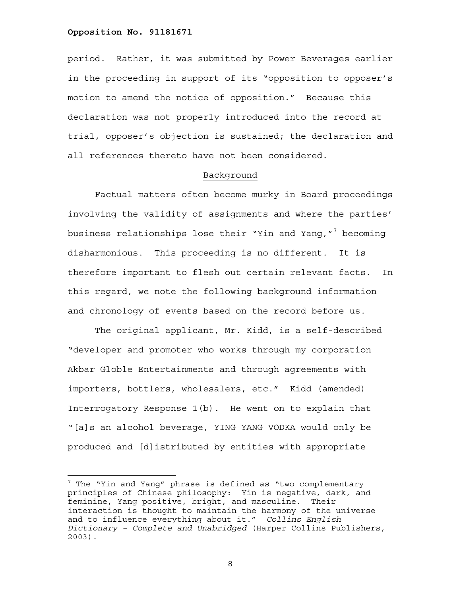÷.

period. Rather, it was submitted by Power Beverages earlier in the proceeding in support of its "opposition to opposer's motion to amend the notice of opposition." Because this declaration was not properly introduced into the record at trial, opposer's objection is sustained; the declaration and all references thereto have not been considered.

## Background

 Factual matters often become murky in Board proceedings involving the validity of assignments and where the parties' business relationships lose their "Yin and Yang,"<sup>7</sup> becoming disharmonious. This proceeding is no different. It is therefore important to flesh out certain relevant facts. In this regard, we note the following background information and chronology of events based on the record before us.

 The original applicant, Mr. Kidd, is a self-described "developer and promoter who works through my corporation Akbar Globle Entertainments and through agreements with importers, bottlers, wholesalers, etc." Kidd (amended) Interrogatory Response 1(b). He went on to explain that "[a]s an alcohol beverage, YING YANG VODKA would only be produced and [d]istributed by entities with appropriate

 $^7$  The "Yin and Yang" phrase is defined as "two complementary principles of Chinese philosophy: Yin is negative, dark, and feminine, Yang positive, bright, and masculine. Their interaction is thought to maintain the harmony of the universe and to influence everything about it." *Collins English Dictionary – Complete and Unabridged* (Harper Collins Publishers, 2003).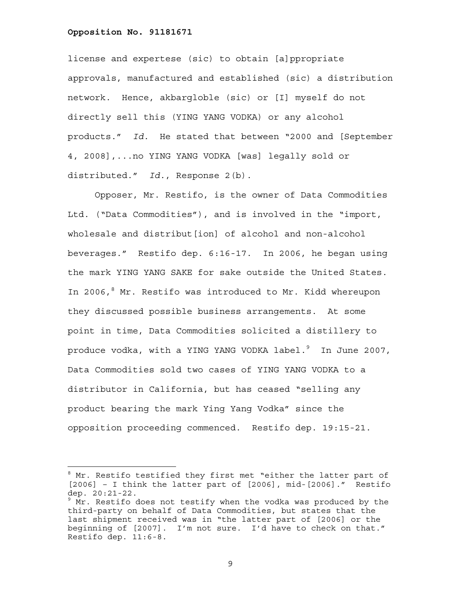÷.

license and expertese (sic) to obtain [a]ppropriate approvals, manufactured and established (sic) a distribution network. Hence, akbargloble (sic) or [I] myself do not directly sell this (YING YANG VODKA) or any alcohol products." *Id.* He stated that between "2000 and [September 4, 2008],...no YING YANG VODKA [was] legally sold or distributed." *Id.*, Response 2(b).

 Opposer, Mr. Restifo, is the owner of Data Commodities Ltd. ("Data Commodities"), and is involved in the "import, wholesale and distribut [ion] of alcohol and non-alcohol beverages." Restifo dep. 6:16-17. In 2006, he began using the mark YING YANG SAKE for sake outside the United States. In 2006,<sup>8</sup> Mr. Restifo was introduced to Mr. Kidd whereupon they discussed possible business arrangements. At some point in time, Data Commodities solicited a distillery to produce vodka, with a YING YANG VODKA label. $^9$  In June 2007, Data Commodities sold two cases of YING YANG VODKA to a distributor in California, but has ceased "selling any product bearing the mark Ying Yang Vodka" since the opposition proceeding commenced. Restifo dep. 19:15-21.

<sup>&</sup>lt;sup>8</sup> Mr. Restifo testified they first met "either the latter part of  $[2006]$  - I think the latter part of  $[2006]$ , mid- $[2006]$ ." Restifo dep. 20:21-22.

 $9$  Mr. Restifo does not testify when the vodka was produced by the third-party on behalf of Data Commodities, but states that the last shipment received was in "the latter part of [2006] or the beginning of [2007]. I'm not sure. I'd have to check on that." Restifo dep. 11:6-8.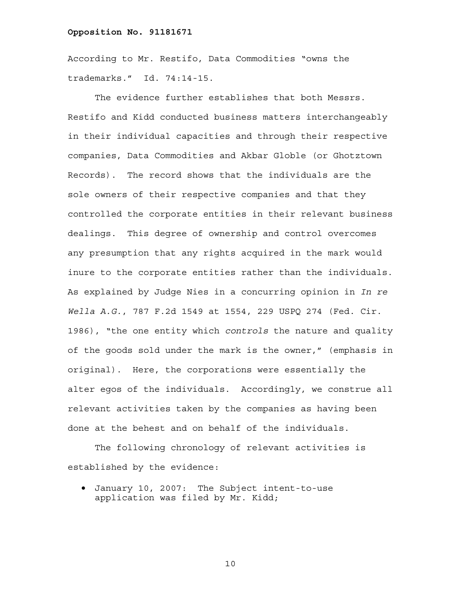According to Mr. Restifo, Data Commodities "owns the trademarks." Id. 74:14-15.

 The evidence further establishes that both Messrs. Restifo and Kidd conducted business matters interchangeably in their individual capacities and through their respective companies, Data Commodities and Akbar Globle (or Ghotztown Records). The record shows that the individuals are the sole owners of their respective companies and that they controlled the corporate entities in their relevant business dealings. This degree of ownership and control overcomes any presumption that any rights acquired in the mark would inure to the corporate entities rather than the individuals. As explained by Judge Nies in a concurring opinion in *In re Wella A.G.*, 787 F.2d 1549 at 1554, 229 USPQ 274 (Fed. Cir. 1986), "the one entity which *controls* the nature and quality of the goods sold under the mark is the owner," (emphasis in original). Here, the corporations were essentially the alter egos of the individuals. Accordingly, we construe all relevant activities taken by the companies as having been done at the behest and on behalf of the individuals.

 The following chronology of relevant activities is established by the evidence:

• January 10, 2007: The Subject intent-to-use application was filed by Mr. Kidd;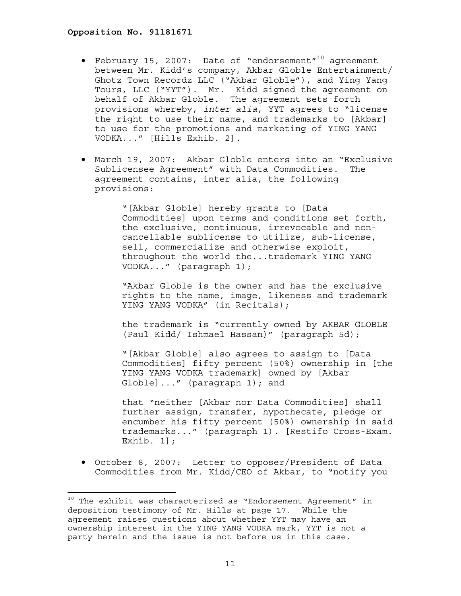÷,

- February 15, 2007: Date of "endorsement"10 agreement between Mr. Kidd's company, Akbar Globle Entertainment/ Ghotz Town Recordz LLC ("Akbar Globle"), and Ying Yang Tours, LLC ("YYT"). Mr. Kidd signed the agreement on behalf of Akbar Globle. The agreement sets forth provisions whereby, *inter alia*, YYT agrees to "license the right to use their name, and trademarks to [Akbar] to use for the promotions and marketing of YING YANG VODKA..." [Hills Exhib. 2].
- March 19, 2007: Akbar Globle enters into an "Exclusive Sublicensee Agreement" with Data Commodities. The agreement contains, inter alia, the following provisions:

"[Akbar Globle] hereby grants to [Data Commodities] upon terms and conditions set forth, the exclusive, continuous, irrevocable and noncancellable sublicense to utilize, sub-license, sell, commercialize and otherwise exploit, throughout the world the...trademark YING YANG VODKA..." (paragraph 1);

"Akbar Globle is the owner and has the exclusive rights to the name, image, likeness and trademark YING YANG VODKA" (in Recitals);

the trademark is "currently owned by AKBAR GLOBLE (Paul Kidd/ Ishmael Hassan)" (paragraph 5d);

"[Akbar Globle] also agrees to assign to [Data Commodities] fifty percent (50%) ownership in [the YING YANG VODKA trademark] owned by [Akbar Globle]..." (paragraph 1); and

that "neither [Akbar nor Data Commodities] shall further assign, transfer, hypothecate, pledge or encumber his fifty percent (50%) ownership in said trademarks..." (paragraph 1). [Restifo Cross-Exam. Exhib. 1];

• October 8, 2007: Letter to opposer/President of Data Commodities from Mr. Kidd/CEO of Akbar, to "notify you

 $10$  The exhibit was characterized as "Endorsement Agreement" in deposition testimony of Mr. Hills at page 17. While the agreement raises questions about whether YYT may have an ownership interest in the YING YANG VODKA mark, YYT is not a party herein and the issue is not before us in this case.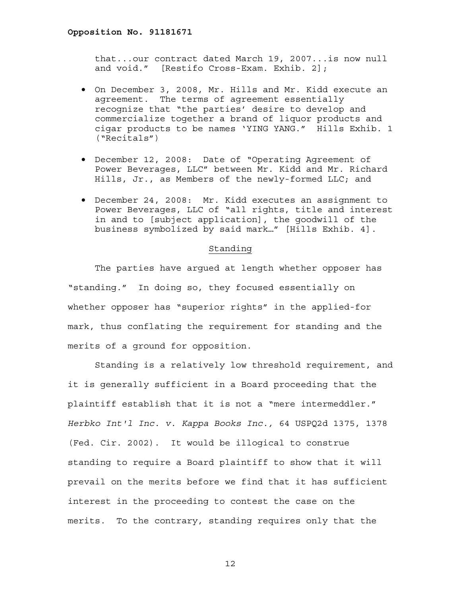that...our contract dated March 19, 2007...is now null and void." [Restifo Cross-Exam. Exhib. 2];

- On December 3, 2008, Mr. Hills and Mr. Kidd execute an agreement. The terms of agreement essentially recognize that "the parties' desire to develop and commercialize together a brand of liquor products and cigar products to be names 'YING YANG." Hills Exhib. 1 ("Recitals")
- December 12, 2008: Date of "Operating Agreement of Power Beverages, LLC" between Mr. Kidd and Mr. Richard Hills, Jr., as Members of the newly-formed LLC; and
- December 24, 2008: Mr. Kidd executes an assignment to Power Beverages, LLC of "all rights, title and interest in and to [subject application], the goodwill of the business symbolized by said mark…" [Hills Exhib. 4].

# Standing

 The parties have argued at length whether opposer has "standing." In doing so, they focused essentially on whether opposer has "superior rights" in the applied-for mark, thus conflating the requirement for standing and the merits of a ground for opposition.

 Standing is a relatively low threshold requirement, and it is generally sufficient in a Board proceeding that the plaintiff establish that it is not a "mere intermeddler." *Herbko Int'l Inc. v. Kappa Books Inc.,* 64 USPQ2d 1375, 1378 (Fed. Cir. 2002). It would be illogical to construe standing to require a Board plaintiff to show that it will prevail on the merits before we find that it has sufficient interest in the proceeding to contest the case on the merits. To the contrary, standing requires only that the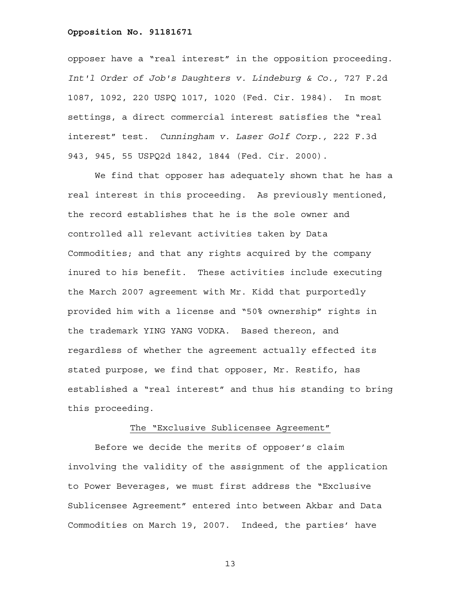opposer have a "real interest" in the opposition proceeding. *Int'l Order of Job's Daughters v. Lindeburg & Co.,* 727 F.2d 1087, 1092, 220 USPQ 1017, 1020 (Fed. Cir. 1984). In most settings, a direct commercial interest satisfies the "real interest" test. *Cunningham v. Laser Golf Corp.,* 222 F.3d 943, 945, 55 USPQ2d 1842, 1844 (Fed. Cir. 2000).

 We find that opposer has adequately shown that he has a real interest in this proceeding. As previously mentioned, the record establishes that he is the sole owner and controlled all relevant activities taken by Data Commodities; and that any rights acquired by the company inured to his benefit. These activities include executing the March 2007 agreement with Mr. Kidd that purportedly provided him with a license and "50% ownership" rights in the trademark YING YANG VODKA. Based thereon, and regardless of whether the agreement actually effected its stated purpose, we find that opposer, Mr. Restifo, has established a "real interest" and thus his standing to bring this proceeding.

# The "Exclusive Sublicensee Agreement"

 Before we decide the merits of opposer's claim involving the validity of the assignment of the application to Power Beverages, we must first address the "Exclusive Sublicensee Agreement" entered into between Akbar and Data Commodities on March 19, 2007. Indeed, the parties' have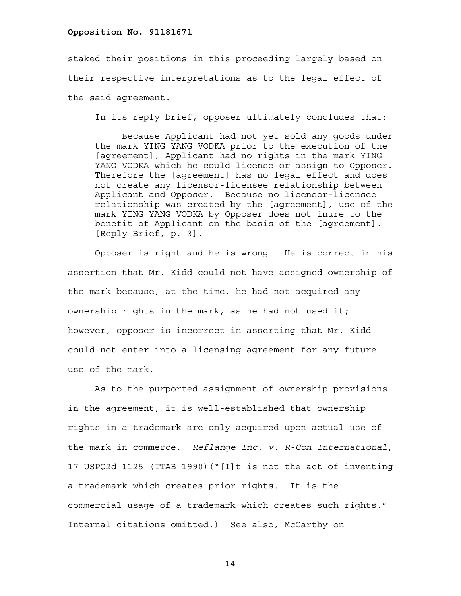staked their positions in this proceeding largely based on their respective interpretations as to the legal effect of the said agreement.

In its reply brief, opposer ultimately concludes that:

 Because Applicant had not yet sold any goods under the mark YING YANG VODKA prior to the execution of the [agreement], Applicant had no rights in the mark YING YANG VODKA which he could license or assign to Opposer. Therefore the [agreement] has no legal effect and does not create any licensor-licensee relationship between Applicant and Opposer. Because no licensor-licensee relationship was created by the [agreement], use of the mark YING YANG VODKA by Opposer does not inure to the benefit of Applicant on the basis of the [agreement]. [Reply Brief, p. 3].

 Opposer is right and he is wrong. He is correct in his assertion that Mr. Kidd could not have assigned ownership of the mark because, at the time, he had not acquired any ownership rights in the mark, as he had not used it; however, opposer is incorrect in asserting that Mr. Kidd could not enter into a licensing agreement for any future use of the mark.

 As to the purported assignment of ownership provisions in the agreement, it is well-established that ownership rights in a trademark are only acquired upon actual use of the mark in commerce. *Reflange Inc. v. R-Con International*, 17 USPQ2d 1125 (TTAB 1990)("[I]t is not the act of inventing a trademark which creates prior rights. It is the commercial usage of a trademark which creates such rights." Internal citations omitted.) See also, McCarthy on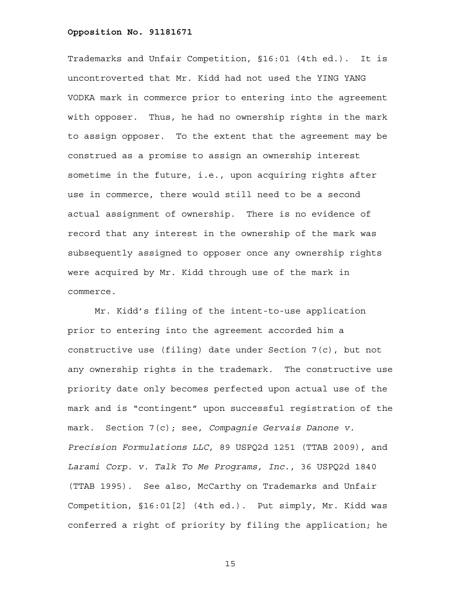Trademarks and Unfair Competition, §16:01 (4th ed.). It is uncontroverted that Mr. Kidd had not used the YING YANG VODKA mark in commerce prior to entering into the agreement with opposer. Thus, he had no ownership rights in the mark to assign opposer. To the extent that the agreement may be construed as a promise to assign an ownership interest sometime in the future, i.e., upon acquiring rights after use in commerce, there would still need to be a second actual assignment of ownership. There is no evidence of record that any interest in the ownership of the mark was subsequently assigned to opposer once any ownership rights were acquired by Mr. Kidd through use of the mark in commerce.

 Mr. Kidd's filing of the intent-to-use application prior to entering into the agreement accorded him a constructive use (filing) date under Section 7(c), but not any ownership rights in the trademark. The constructive use priority date only becomes perfected upon actual use of the mark and is "contingent" upon successful registration of the mark. Section 7(c); see, *Compagnie Gervais Danone v. Precision Formulations LLC*, 89 USPQ2d 1251 (TTAB 2009), and *Larami Corp. v. Talk To Me Programs, Inc.*, 36 USPQ2d 1840 (TTAB 1995). See also, McCarthy on Trademarks and Unfair Competition, §16:01[2] (4th ed.). Put simply, Mr. Kidd was conferred a right of priority by filing the application; he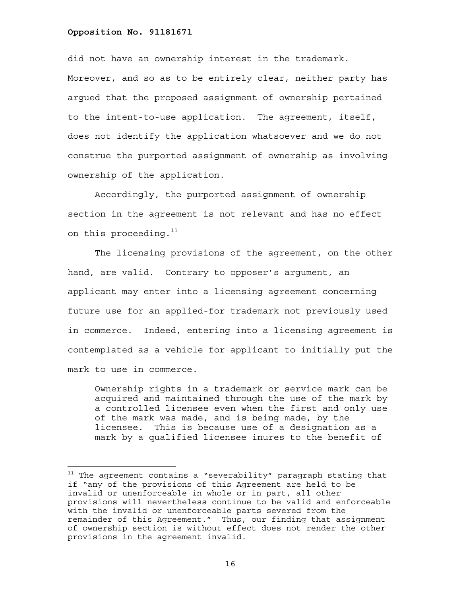÷.

did not have an ownership interest in the trademark. Moreover, and so as to be entirely clear, neither party has argued that the proposed assignment of ownership pertained to the intent-to-use application. The agreement, itself, does not identify the application whatsoever and we do not construe the purported assignment of ownership as involving ownership of the application.

 Accordingly, the purported assignment of ownership section in the agreement is not relevant and has no effect on this proceeding. $11$ 

 The licensing provisions of the agreement, on the other hand, are valid. Contrary to opposer's argument, an applicant may enter into a licensing agreement concerning future use for an applied-for trademark not previously used in commerce. Indeed, entering into a licensing agreement is contemplated as a vehicle for applicant to initially put the mark to use in commerce.

Ownership rights in a trademark or service mark can be acquired and maintained through the use of the mark by a controlled licensee even when the first and only use of the mark was made, and is being made, by the licensee. This is because use of a designation as a mark by a qualified licensee inures to the benefit of

 $11$  The agreement contains a "severability" paragraph stating that if "any of the provisions of this Agreement are held to be invalid or unenforceable in whole or in part, all other provisions will nevertheless continue to be valid and enforceable with the invalid or unenforceable parts severed from the remainder of this Agreement." Thus, our finding that assignment of ownership section is without effect does not render the other provisions in the agreement invalid.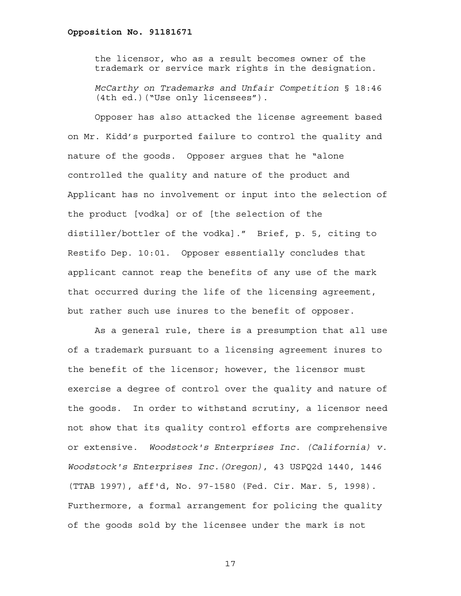the licensor, who as a result becomes owner of the trademark or service mark rights in the designation.

*McCarthy on Trademarks and Unfair Competition* § 18:46 (4th ed.)("Use only licensees").

 Opposer has also attacked the license agreement based on Mr. Kidd's purported failure to control the quality and nature of the goods. Opposer argues that he "alone controlled the quality and nature of the product and Applicant has no involvement or input into the selection of the product [vodka] or of [the selection of the distiller/bottler of the vodka]." Brief, p. 5, citing to Restifo Dep. 10:01. Opposer essentially concludes that applicant cannot reap the benefits of any use of the mark that occurred during the life of the licensing agreement, but rather such use inures to the benefit of opposer.

 As a general rule, there is a presumption that all use of a trademark pursuant to a licensing agreement inures to the benefit of the licensor; however, the licensor must exercise a degree of control over the quality and nature of the goods. In order to withstand scrutiny, a licensor need not show that its quality control efforts are comprehensive or extensive. *Woodstock's Enterprises Inc. (California) v. Woodstock's Enterprises Inc.(Oregon)*, 43 USPQ2d 1440, 1446 (TTAB 1997), aff'd, No. 97-1580 (Fed. Cir. Mar. 5, 1998). Furthermore, a formal arrangement for policing the quality of the goods sold by the licensee under the mark is not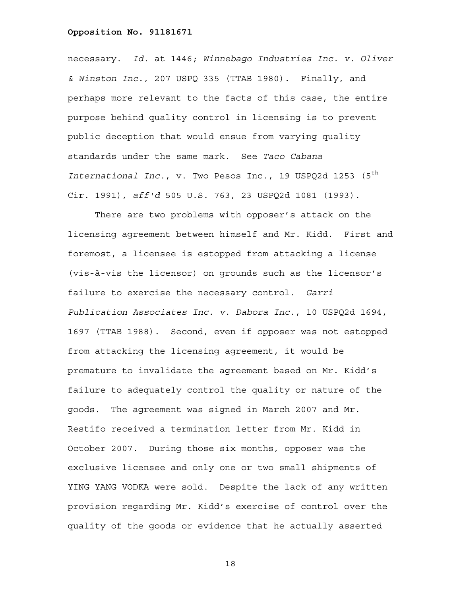necessary. *Id.* at 1446; *Winnebago Industries Inc. v. Oliver & Winston Inc.*, 207 USPQ 335 (TTAB 1980). Finally, and perhaps more relevant to the facts of this case, the entire purpose behind quality control in licensing is to prevent public deception that would ensue from varying quality standards under the same mark. See *Taco Cabana International Inc.*, v. Two Pesos Inc., 19 USPQ2d 1253 (5<sup>th</sup> Cir. 1991), *aff'd* 505 U.S. 763, 23 USPQ2d 1081 (1993).

 There are two problems with opposer's attack on the licensing agreement between himself and Mr. Kidd. First and foremost, a licensee is estopped from attacking a license (vis-à-vis the licensor) on grounds such as the licensor's failure to exercise the necessary control. *Garri Publication Associates Inc. v. Dabora Inc.*, 10 USPQ2d 1694, 1697 (TTAB 1988). Second, even if opposer was not estopped from attacking the licensing agreement, it would be premature to invalidate the agreement based on Mr. Kidd's failure to adequately control the quality or nature of the goods. The agreement was signed in March 2007 and Mr. Restifo received a termination letter from Mr. Kidd in October 2007. During those six months, opposer was the exclusive licensee and only one or two small shipments of YING YANG VODKA were sold. Despite the lack of any written provision regarding Mr. Kidd's exercise of control over the quality of the goods or evidence that he actually asserted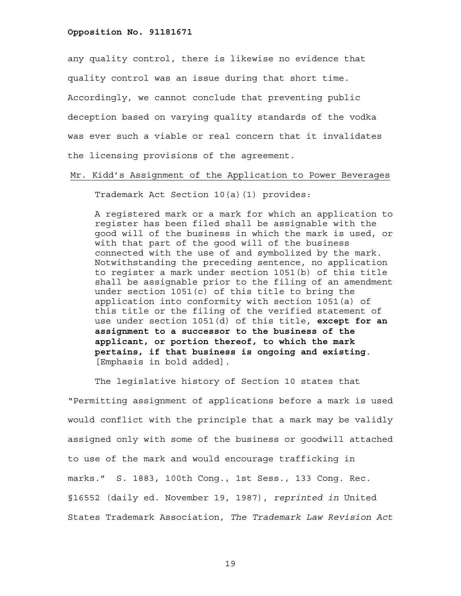any quality control, there is likewise no evidence that quality control was an issue during that short time. Accordingly, we cannot conclude that preventing public deception based on varying quality standards of the vodka was ever such a viable or real concern that it invalidates the licensing provisions of the agreement.

Mr. Kidd's Assignment of the Application to Power Beverages

Trademark Act Section 10(a)(1) provides:

A registered mark or a mark for which an application to register has been filed shall be assignable with the good will of the business in which the mark is used, or with that part of the good will of the business connected with the use of and symbolized by the mark. Notwithstanding the preceding sentence, no application to register a mark under section 1051(b) of this title shall be assignable prior to the filing of an amendment under section 1051(c) of this title to bring the application into conformity with section 1051(a) of this title or the filing of the verified statement of use under section 1051(d) of this title, **except for an assignment to a successor to the business of the applicant, or portion thereof, to which the mark pertains, if that business is ongoing and existing**. [Emphasis in bold added].

 The legislative history of Section 10 states that "Permitting assignment of applications before a mark is used would conflict with the principle that a mark may be validly assigned only with some of the business or goodwill attached to use of the mark and would encourage trafficking in marks." S. 1883, 100th Cong., 1st Sess., 133 Cong. Rec. §16552 (daily ed. November 19, 1987), *reprinted in* United States Trademark Association, *The Trademark Law Revision Act*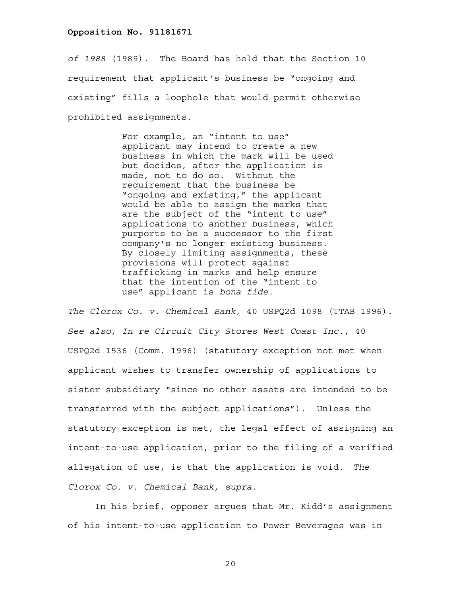*of 1988* (1989). The Board has held that the Section 10 requirement that applicant's business be "ongoing and existing" fills a loophole that would permit otherwise prohibited assignments.

> For example, an "intent to use" applicant may intend to create a new business in which the mark will be used but decides, after the application is made, not to do so. Without the requirement that the business be "ongoing and existing," the applicant would be able to assign the marks that are the subject of the "intent to use" applications to another business, which purports to be a successor to the first company's no longer existing business. By closely limiting assignments, these provisions will protect against trafficking in marks and help ensure that the intention of the "intent to use" applicant is *bona fide.*

*The Clorox Co. v. Chemical Bank*, 40 USPQ2d 1098 (TTAB 1996). *See also, In re Circuit City Stores West Coast Inc.*, 40 USPQ2d 1536 (Comm. 1996) (statutory exception not met when applicant wishes to transfer ownership of applications to sister subsidiary "since no other assets are intended to be transferred with the subject applications"). Unless the statutory exception is met, the legal effect of assigning an intent-to-use application, prior to the filing of a verified allegation of use, is that the application is void. *The Clorox Co. v. Chemical Bank, supra*.

 In his brief, opposer argues that Mr. Kidd's assignment of his intent-to-use application to Power Beverages was in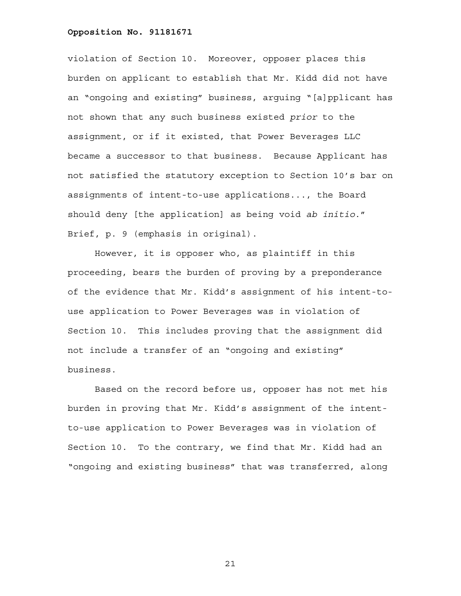violation of Section 10. Moreover, opposer places this burden on applicant to establish that Mr. Kidd did not have an "ongoing and existing" business, arguing "[a]pplicant has not shown that any such business existed *prior* to the assignment, or if it existed, that Power Beverages LLC became a successor to that business. Because Applicant has not satisfied the statutory exception to Section 10's bar on assignments of intent-to-use applications..., the Board should deny [the application] as being void *ab initio*." Brief, p. 9 (emphasis in original).

 However, it is opposer who, as plaintiff in this proceeding, bears the burden of proving by a preponderance of the evidence that Mr. Kidd's assignment of his intent-touse application to Power Beverages was in violation of Section 10. This includes proving that the assignment did not include a transfer of an "ongoing and existing" business.

 Based on the record before us, opposer has not met his burden in proving that Mr. Kidd's assignment of the intentto-use application to Power Beverages was in violation of Section 10. To the contrary, we find that Mr. Kidd had an "ongoing and existing business" that was transferred, along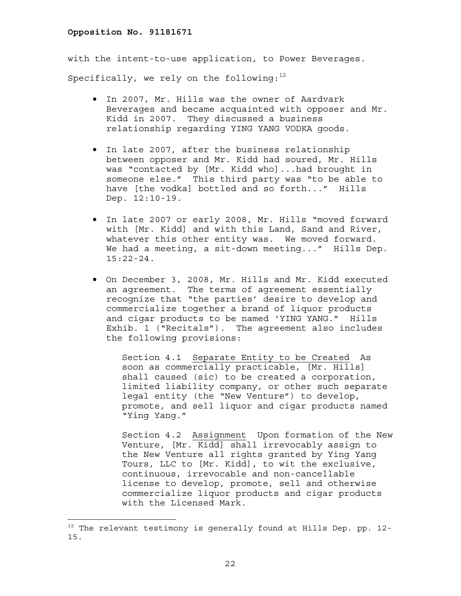with the intent-to-use application, to Power Beverages. Specifically, we rely on the following: $12$ 

- In 2007, Mr. Hills was the owner of Aardvark Beverages and became acquainted with opposer and Mr. Kidd in 2007. They discussed a business relationship regarding YING YANG VODKA goods.
- In late 2007, after the business relationship between opposer and Mr. Kidd had soured, Mr. Hills was "contacted by [Mr. Kidd who]...had brought in someone else." This third party was "to be able to have [the vodka] bottled and so forth..." Hills Dep. 12:10-19.
- In late 2007 or early 2008, Mr. Hills "moved forward with [Mr. Kidd] and with this Land, Sand and River, whatever this other entity was. We moved forward. We had a meeting, a sit-down meeting..." Hills Dep. 15:22-24.
- On December 3, 2008, Mr. Hills and Mr. Kidd executed an agreement. The terms of agreement essentially recognize that "the parties' desire to develop and commercialize together a brand of liquor products and cigar products to be named 'YING YANG." Hills Exhib. 1 ("Recitals"). The agreement also includes the following provisions:

Section 4.1 Separate Entity to be Created As soon as commercially practicable, [Mr. Hills] shall caused (sic) to be created a corporation, limited liability company, or other such separate legal entity (the "New Venture") to develop, promote, and sell liquor and cigar products named "Ying Yang."

Section 4.2 Assignment Upon formation of the New Venture, [Mr. Kidd] shall irrevocably assign to the New Venture all rights granted by Ying Yang Tours, LLC to [Mr. Kidd], to wit the exclusive, continuous, irrevocable and non-cancellable license to develop, promote, sell and otherwise commercialize liquor products and cigar products with the Licensed Mark.

 $12$  The relevant testimony is generally found at Hills Dep. pp. 12-15.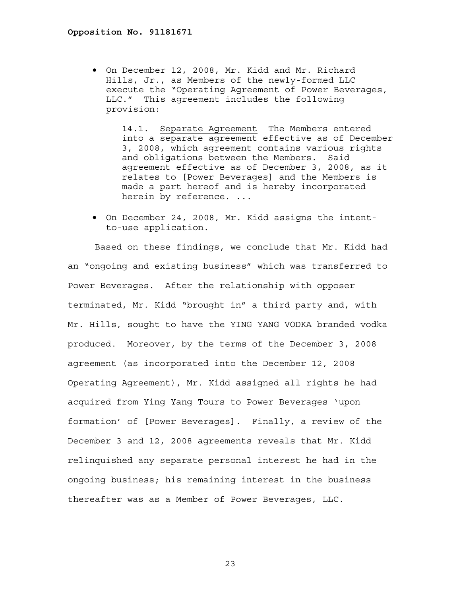• On December 12, 2008, Mr. Kidd and Mr. Richard Hills, Jr., as Members of the newly-formed LLC execute the "Operating Agreement of Power Beverages, LLC." This agreement includes the following provision:

14.1. Separate Agreement The Members entered into a separate agreement effective as of December 3, 2008, which agreement contains various rights and obligations between the Members. Said agreement effective as of December 3, 2008, as it relates to [Power Beverages] and the Members is made a part hereof and is hereby incorporated herein by reference. ...

• On December 24, 2008, Mr. Kidd assigns the intentto-use application.

 Based on these findings, we conclude that Mr. Kidd had an "ongoing and existing business" which was transferred to Power Beverages. After the relationship with opposer terminated, Mr. Kidd "brought in" a third party and, with Mr. Hills, sought to have the YING YANG VODKA branded vodka produced. Moreover, by the terms of the December 3, 2008 agreement (as incorporated into the December 12, 2008 Operating Agreement), Mr. Kidd assigned all rights he had acquired from Ying Yang Tours to Power Beverages 'upon formation' of [Power Beverages]. Finally, a review of the December 3 and 12, 2008 agreements reveals that Mr. Kidd relinquished any separate personal interest he had in the ongoing business; his remaining interest in the business thereafter was as a Member of Power Beverages, LLC.